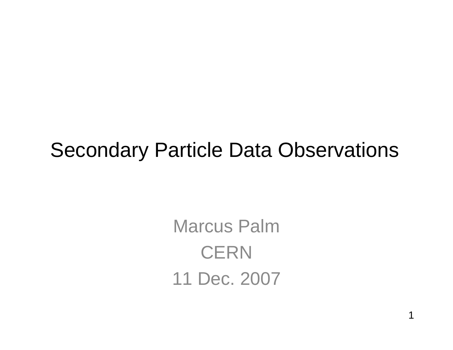### Secondary Particle Data Observations

Marcus Palm**CERN** 11 Dec. 2007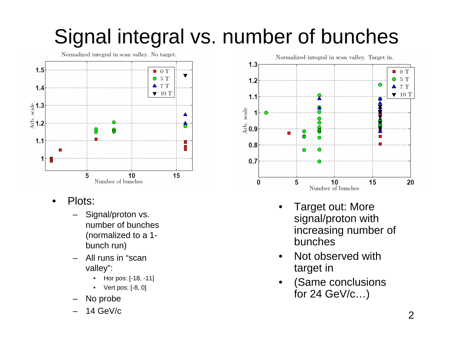### Signal integral vs. number of bunches

Normalized integral in scan valley. No target.



- • Plots:
	- Signal/proton vs. number of bunches (normalized to a 1 bunch run)
	- All runs in "scan valley":
		- $\bullet$ Hor pos: [-18, -11]
		- •Vert pos: [-8, 0]
	- No probe
	- 14 GeV/c



- • Target out: More signal/proton with increasing number of bunches
- • Not observed with target in
- • (Same conclusions for 24 GeV/c…)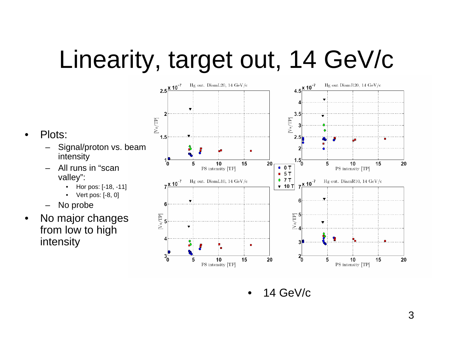# Linearity, target out, 14 GeV/c



 $\bullet$ 14 GeV/c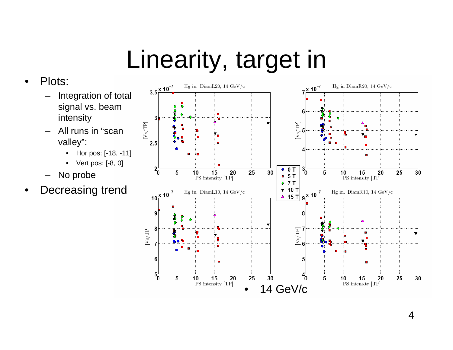# Linearity, target in

### •Plots:

- – Integration of total signal vs. beam intensity
- – All runs in "scan valley":
	- •Hor pos: [-18, -11]
	- Vert pos: [-8, 0]
- –No probe
- •Decreasing trend

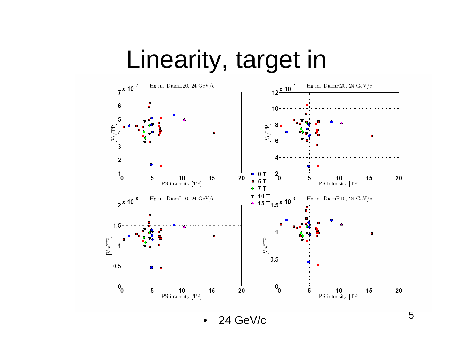## Linearity, target in



•24 GeV/c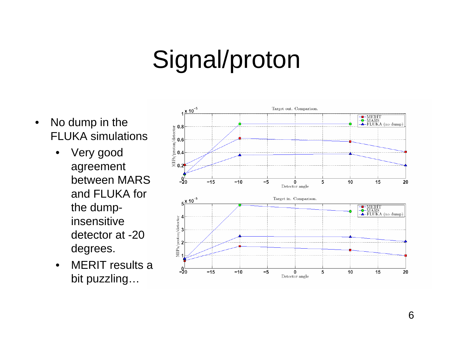## Signal/proton

- • No dump in the FLUKA simulations
	- $\bullet$  Very good agreement between MARS and FLUKA for the dumpinsensitive detector at -20 degrees.
	- • MERIT results a bit puzzling…

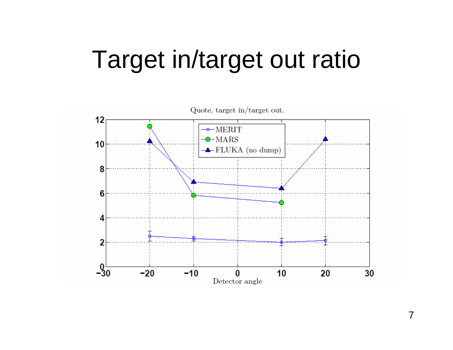## Target in/target out ratio



7